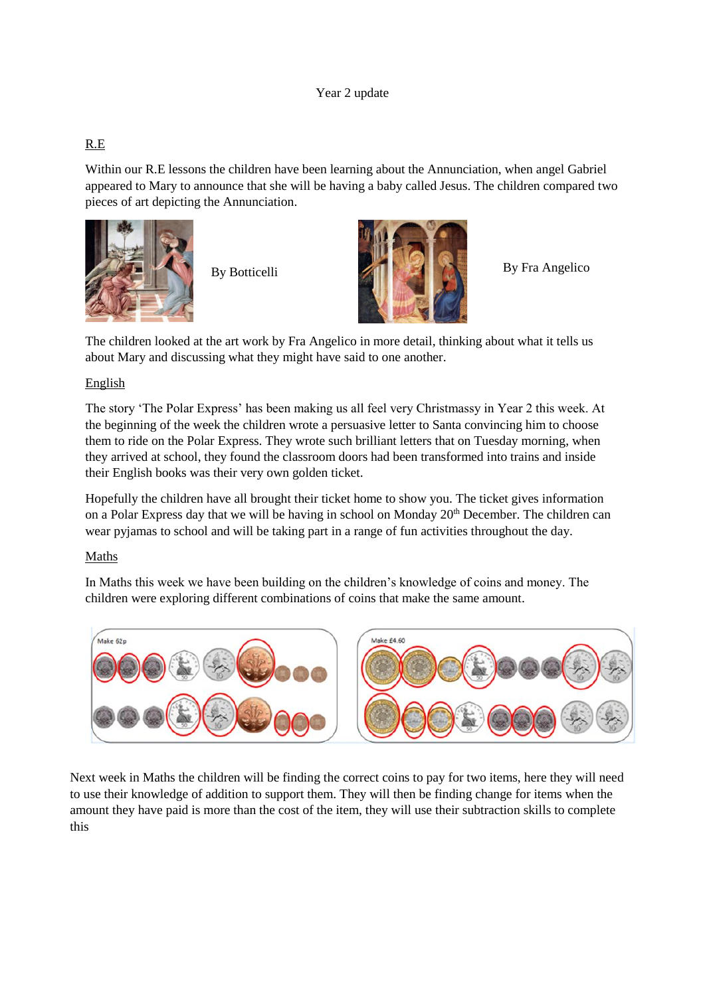#### Year 2 update

## R.E

Within our R.E lessons the children have been learning about the Annunciation, when angel Gabriel appeared to Mary to announce that she will be having a baby called Jesus. The children compared two pieces of art depicting the Annunciation.





The children looked at the art work by Fra Angelico in more detail, thinking about what it tells us about Mary and discussing what they might have said to one another.

#### English

The story 'The Polar Express' has been making us all feel very Christmassy in Year 2 this week. At the beginning of the week the children wrote a persuasive letter to Santa convincing him to choose them to ride on the Polar Express. They wrote such brilliant letters that on Tuesday morning, when they arrived at school, they found the classroom doors had been transformed into trains and inside their English books was their very own golden ticket.

Hopefully the children have all brought their ticket home to show you. The ticket gives information on a Polar Express day that we will be having in school on Monday 20<sup>th</sup> December. The children can wear pyjamas to school and will be taking part in a range of fun activities throughout the day.

#### Maths

In Maths this week we have been building on the children's knowledge of coins and money. The children were exploring different combinations of coins that make the same amount.



Next week in Maths the children will be finding the correct coins to pay for two items, here they will need to use their knowledge of addition to support them. They will then be finding change for items when the amount they have paid is more than the cost of the item, they will use their subtraction skills to complete this